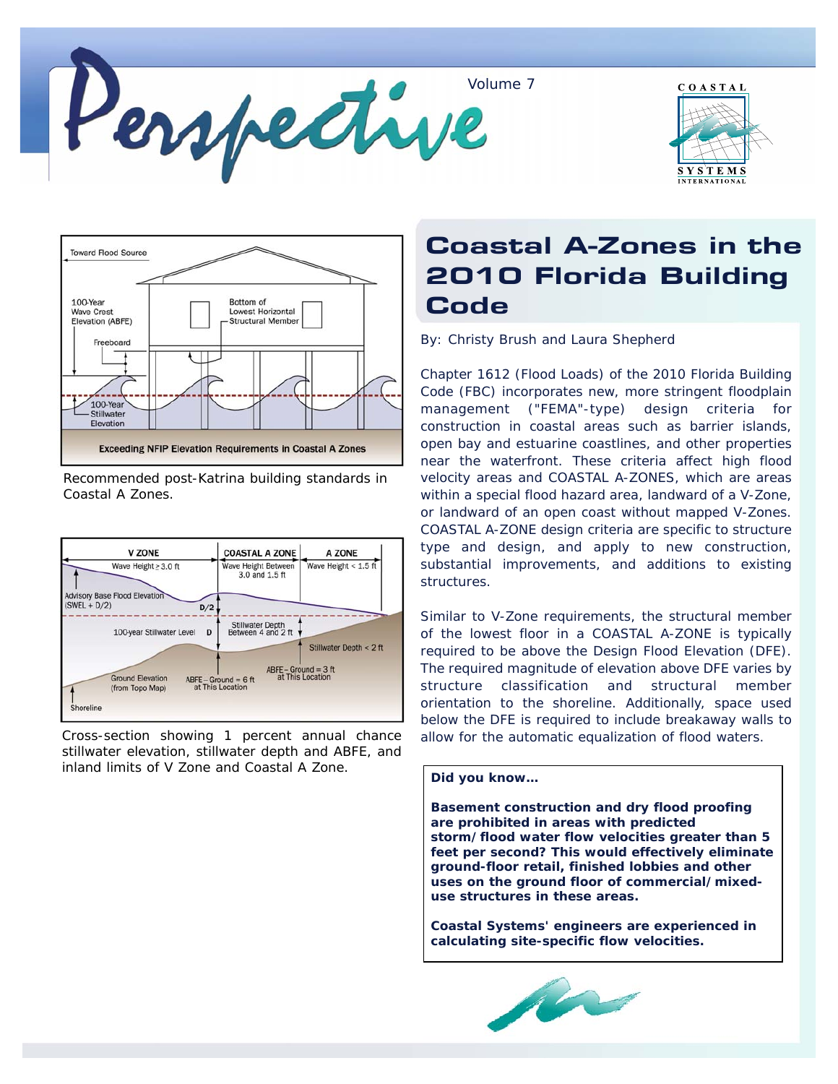





Recommended post-Katrina building standards in Coastal A Zones.



stillwater elevation, stillwater depth and ABFE, and inland limits of V Zone and Coastal A Zone.

## Coastal A-Zones in the 2010 Florida Building **Code**

By: Christy Brush and Laura Shepherd

Chapter 1612 (Flood Loads) of the 2010 Florida Building Code (FBC) incorporates new, more stringent floodplain management ("FEMA"-type) design criteria for construction in coastal areas such as barrier islands, open bay and estuarine coastlines, and other properties near the waterfront. These criteria affect high flood velocity areas and COASTAL A-ZONES, which are areas within a special flood hazard area, landward of a V-Zone, or landward of an open coast without mapped V-Zones. COASTAL A-ZONE design criteria are specific to structure type and design, and apply to new construction, substantial improvements, and additions to existing structures.

Similar to V-Zone requirements, the structural member of the lowest floor in a COASTAL A-ZONE is typically required to be above the Design Flood Elevation (DFE). The required magnitude of elevation above DFE varies by structure classification and structural member orientation to the shoreline. Additionally, space used below the DFE is required to include breakaway walls to Cross-section showing 1 percent annual chance allow for the automatic equalization of flood waters.

## **Did you know…**

**Basement construction and dry flood proofing are prohibited in areas with predicted storm/flood water flow velocities greater than 5 feet per second? This would effectively eliminate ground-floor retail, finished lobbies and other uses on the ground floor of commercial/mixeduse structures in these areas.**

**Coastal Systems' engineers are experienced in calculating site-specific flow velocities.**